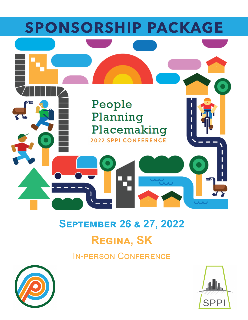

# **September 26 & 27, 2022 Regina, SK**

### In-person Conference



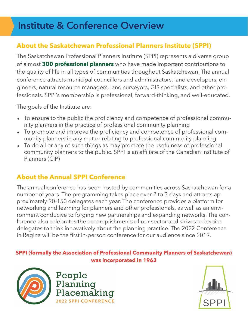## **Institute & Conference Overview**

### **About the Saskatchewan Professional Planners Institute (SPPI)**

The Saskatchewan Professional Planners Institute (SPPI) represents a diverse group of almost **300 professional planners** who have made important contributions to the quality of life in all types of communities throughout Saskatchewan. The annual conference attracts municipal councillors and administrators, land developers, engineers, natural resource managers, land surveyors, GIS specialists, and other professionals. SPPI's membership is professional, forward-thinking, and well-educated.

The goals of the Institute are:

- To ensure to the public the proficiency and competence of professional community planners in the practice of professional community planning
- To promote and improve the proficiency and competence of professional community planners in any matter relating to professional community planning
- To do all or any of such things as may promote the usefulness of professional community planners to the public. SPPI is an affiliate of the Canadian Institute of Planners (CIP)

### **About the Annual SPPI Conference**

The annual conference has been hosted by communities across Saskatchewan for a number of years. The programming takes place over 2 to 3 days and attracts approximately 90-150 delegates each year. The conference provides a platform for networking and learning for planners and other professionals, as well as an environment conducive to forging new partnerships and expanding networks. The conference also celebrates the accomplishments of our sector and strives to inspire delegates to think innovatively about the planning practice. The 2022 Conference in Regina will be the first in-person conference for our audience since 2019.

#### **SPPI (formally the Association of Professional Community Planners of Saskatchewan) was incorporated in 1963**



People Planning Placemaking **2022 SPPI CONFERENCE** 

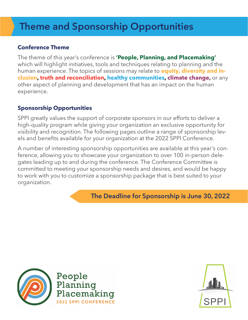## **Theme and Sponsorship Opportunities**

#### **Conference Theme**

The theme of this year's conference is **'People, Planning, and Placemaking'**  which will highlight initiatives, tools and techniques relating to planning and the human experience. The topics of sessions may relate to **equity, diversity and inclusion, truth and reconciliation, healthy communities, climate change,** or any other aspect of planning and development that has an impact on the human experience.

### **Sponsorship Opportunities**

SPPI greatly values the support of corporate sponsors in our efforts to deliver a high-quality program while giving your organization an exclusive opportunity for visibility and recognition. The following pages outline a range of sponsorship levels and benefits available for your organization at the 2022 SPPI Conference.

A number of interesting sponsorship opportunities are available at this year's conference, allowing you to showcase your organization to over 100 in-person delegates leading up to and during the conference. The Conference Committee is committed to meeting your sponsorship needs and desires, and would be happy to work with you to customize a sponsorship package that is best suited to your organization.

**The Deadline for Sponsorship is June 30, 2022**



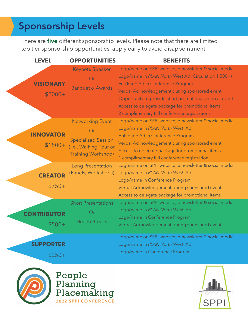## **Sponsorship Levels**

There are **five** different sponsorship levels. Please note that there are limited top tier sponsorship opportunities, apply early to avoid disappointment.

| <b>LEVEL</b>                  | <b>OPPORTUNITIES</b>                                                                                                       | <b>BENEFITS</b>                                                                                                                                                                                                                                                                                                                                                       |
|-------------------------------|----------------------------------------------------------------------------------------------------------------------------|-----------------------------------------------------------------------------------------------------------------------------------------------------------------------------------------------------------------------------------------------------------------------------------------------------------------------------------------------------------------------|
| <b>VISIONARY</b><br>$$2000+$  | <b>Keynote Speaker</b><br>Or<br><b>Banquet &amp; Awards</b>                                                                | Logo/name on SPPI website, e-newsletter & social media<br>Logo/name in PLAN North West Ad (Circulation 1,500+)<br>Full Page Ad in Conference Program<br>Verbal Acknowledgement during sponsored event<br>Opportunity to provide short promotional video at event<br>Access to delegate package for promotional items<br>2 complimentary full conference registrations |
| <b>INNOVATOR</b><br>$$1500+$  | <b>Networking Event</b><br>$\bigcirc$ r<br><b>Specialized Session</b><br>(i.e Walking Tour or<br><b>Training Workshop)</b> | Logo/name on SPPI website, e-newsletter & social media<br>Logo/name in PLAN North West Ad<br>Half page Ad in Conference Program<br>Verbal Acknowledgement during sponsored event<br>Access to delegate package for promotional items<br>1 complimentary full conference registration                                                                                  |
| <b>CREATOR</b><br>$$750+$     | <b>Long Presentation</b><br>(Panels, Workshops)                                                                            | Logo/name on SPPI website, e-newsletter & social media<br>Logo/name in PLAN North West Ad<br>Logo/name in Conference Program<br>Verbal Acknowledgement during sponsored event<br>Access to delegate package for promotional items                                                                                                                                     |
| <b>CONTRIBUTOR</b><br>$$500+$ | <b>Short Presentations</b><br>Or)<br><b>Health Breaks</b>                                                                  | Logo/name on SPPI website, e-newsletter & social media<br>Logo/name in PLAN North West Ad<br>Logo/name in Conference Program<br>Verbal Acknowledgement during sponsored event                                                                                                                                                                                         |
| <b>SUPPORTER</b><br>$$250+$   |                                                                                                                            | Logo/name on SPPI website, e-newsletter & social media<br>Logo/name in PLAN North West Ad<br>Logo/name in Conference Program                                                                                                                                                                                                                                          |



People Planning<br>Placemaking 2022 SPPI CONFERENCE

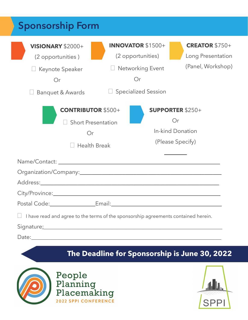| <b>Sponsorship Form</b>                                                                                                                                                                                                                                                                                              |                                                                                                       |                                                                       |  |  |
|----------------------------------------------------------------------------------------------------------------------------------------------------------------------------------------------------------------------------------------------------------------------------------------------------------------------|-------------------------------------------------------------------------------------------------------|-----------------------------------------------------------------------|--|--|
| <b>VISIONARY \$2000+</b><br>(2 opportunities)<br>Keynote Speaker<br>Or<br>Banquet & Awards                                                                                                                                                                                                                           | <b>INNOVATOR \$1500+</b><br>(2 opportunities)<br>Networking Event<br>Or<br><b>Specialized Session</b> | <b>CREATOR \$750+</b><br>Long Presentation<br>(Panel, Workshop)       |  |  |
| <b>CONTRIBUTOR \$500+</b><br><b>Short Presentation</b><br>Or<br><b>Health Break</b>                                                                                                                                                                                                                                  |                                                                                                       | <b>SUPPORTER \$250+</b><br>Or<br>In-kind Donation<br>(Please Specify) |  |  |
| City/Province: City/Province:                                                                                                                                                                                                                                                                                        |                                                                                                       |                                                                       |  |  |
| I have read and agree to the terms of the sponsorship agreements contained herein.<br>Signature: Signature: Signature: Signature: Signature: Signature: Signature: Signature: Signature: Signature: Signature: Signature: Signature: Signature: Signature: Signature: Signature: Signature: Signature: Signature: Si |                                                                                                       |                                                                       |  |  |

### **The Deadline for Sponsorship is June 30, 2022**